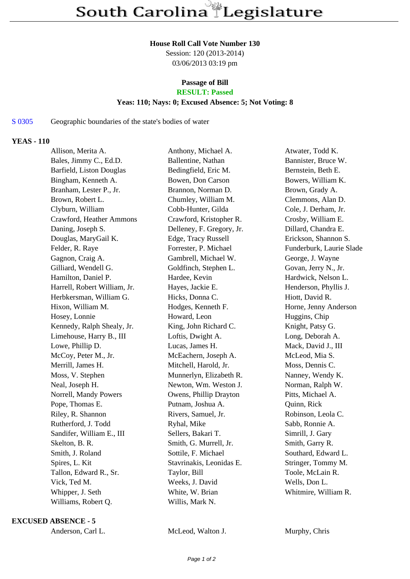#### **House Roll Call Vote Number 130**

Session: 120 (2013-2014) 03/06/2013 03:19 pm

# **Passage of Bill**

## **RESULT: Passed**

### **Yeas: 110; Nays: 0; Excused Absence: 5; Not Voting: 8**

### S 0305 Geographic boundaries of the state's bodies of water

### **YEAS - 110**

| Allison, Merita A.           | Anthony, Michael A.       | Atwater, Todd K.         |
|------------------------------|---------------------------|--------------------------|
| Bales, Jimmy C., Ed.D.       | Ballentine, Nathan        | Bannister, Bruce W.      |
| Barfield, Liston Douglas     | Bedingfield, Eric M.      | Bernstein, Beth E.       |
| Bingham, Kenneth A.          | Bowen, Don Carson         | Bowers, William K.       |
| Branham, Lester P., Jr.      | Brannon, Norman D.        | Brown, Grady A.          |
| Brown, Robert L.             | Chumley, William M.       | Clemmons, Alan D.        |
| Clyburn, William             | Cobb-Hunter, Gilda        | Cole, J. Derham, Jr.     |
| Crawford, Heather Ammons     | Crawford, Kristopher R.   | Crosby, William E.       |
| Daning, Joseph S.            | Delleney, F. Gregory, Jr. | Dillard, Chandra E.      |
| Douglas, MaryGail K.         | Edge, Tracy Russell       | Erickson, Shannon S.     |
| Felder, R. Raye              | Forrester, P. Michael     | Funderburk, Laurie Slade |
| Gagnon, Craig A.             | Gambrell, Michael W.      | George, J. Wayne         |
| Gilliard, Wendell G.         | Goldfinch, Stephen L.     | Govan, Jerry N., Jr.     |
| Hamilton, Daniel P.          | Hardee, Kevin             | Hardwick, Nelson L.      |
| Harrell, Robert William, Jr. | Hayes, Jackie E.          | Henderson, Phyllis J.    |
| Herbkersman, William G.      | Hicks, Donna C.           | Hiott, David R.          |
| Hixon, William M.            | Hodges, Kenneth F.        | Horne, Jenny Anderson    |
| Hosey, Lonnie                | Howard, Leon              | Huggins, Chip            |
| Kennedy, Ralph Shealy, Jr.   | King, John Richard C.     | Knight, Patsy G.         |
| Limehouse, Harry B., III     | Loftis, Dwight A.         | Long, Deborah A.         |
| Lowe, Phillip D.             | Lucas, James H.           | Mack, David J., III      |
| McCoy, Peter M., Jr.         | McEachern, Joseph A.      | McLeod, Mia S.           |
| Merrill, James H.            | Mitchell, Harold, Jr.     | Moss, Dennis C.          |
| Moss, V. Stephen             | Munnerlyn, Elizabeth R.   | Nanney, Wendy K.         |
| Neal, Joseph H.              | Newton, Wm. Weston J.     | Norman, Ralph W.         |
| Norrell, Mandy Powers        | Owens, Phillip Drayton    | Pitts, Michael A.        |
| Pope, Thomas E.              | Putnam, Joshua A.         | Quinn, Rick              |
| Riley, R. Shannon            | Rivers, Samuel, Jr.       | Robinson, Leola C.       |
| Rutherford, J. Todd          | Ryhal, Mike               | Sabb, Ronnie A.          |
| Sandifer, William E., III    | Sellers, Bakari T.        | Simrill, J. Gary         |
| Skelton, B. R.               | Smith, G. Murrell, Jr.    | Smith, Garry R.          |
| Smith, J. Roland             | Sottile, F. Michael       | Southard, Edward L.      |
| Spires, L. Kit               | Stavrinakis, Leonidas E.  | Stringer, Tommy M.       |
| Tallon, Edward R., Sr.       | Taylor, Bill              | Toole, McLain R.         |
| Vick, Ted M.                 | Weeks, J. David           | Wells, Don L.            |
| Whipper, J. Seth             | White, W. Brian           | Whitmire, William R.     |
| Williams, Robert Q.          | Willis, Mark N.           |                          |
|                              |                           |                          |

**EXCUSED ABSENCE - 5**

Anderson, Carl L. McLeod, Walton J. Murphy, Chris